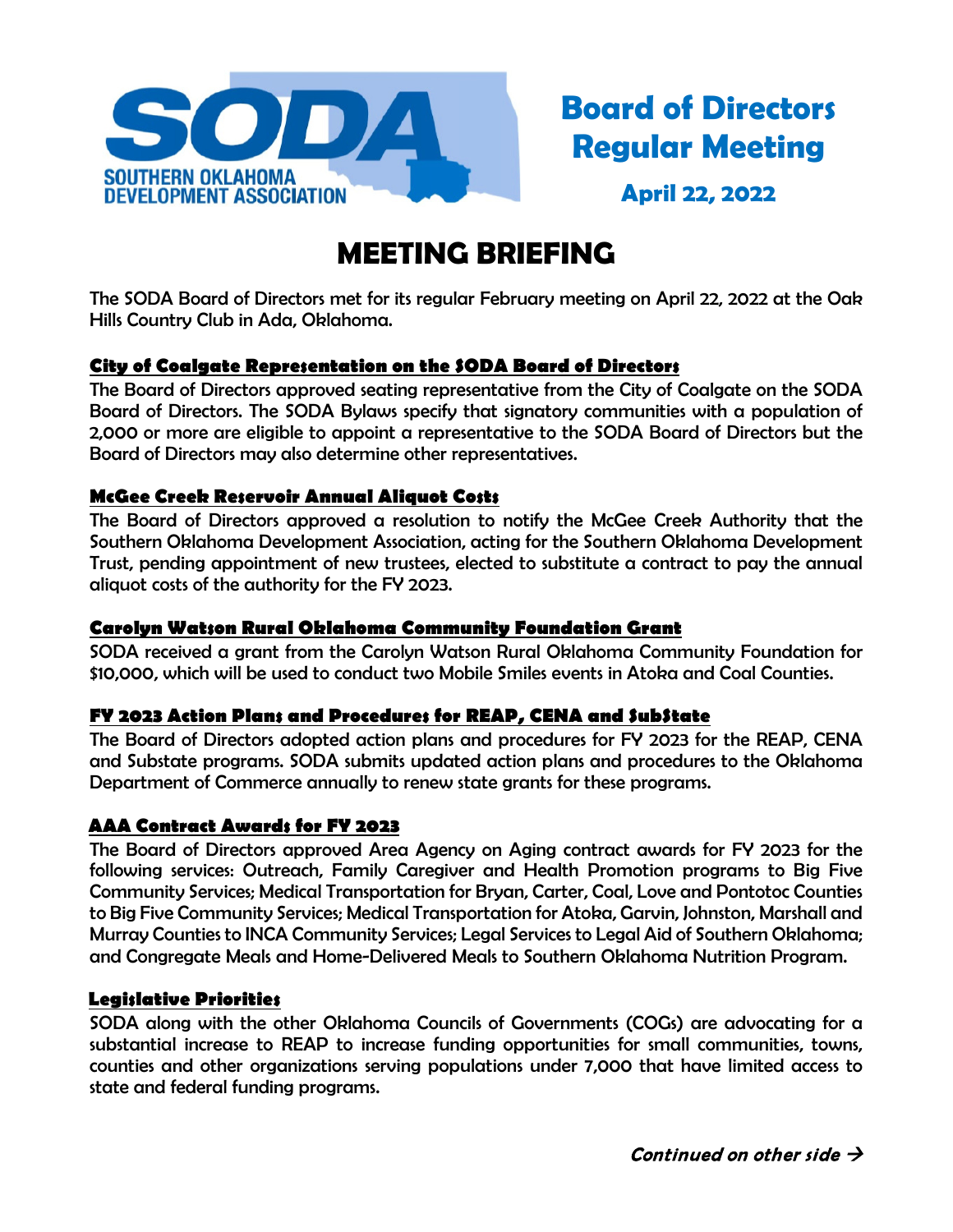

**Board of Directors Regular Meeting**

**April 22, 2022**

# **MEETING BRIEFING**

The SODA Board of Directors met for its regular February meeting on April 22, 2022 at the Oak Hills Country Club in Ada, Oklahoma.

## **City of Coalgate Representation on the SODA Board of Directors**

The Board of Directors approved seating representative from the City of Coalgate on the SODA Board of Directors. The SODA Bylaws specify that signatory communities with a population of 2,000 or more are eligible to appoint a representative to the SODA Board of Directors but the Board of Directors may also determine other representatives.

#### **McGee Creek Reservoir Annual Aliquot Costs**

The Board of Directors approved a resolution to notify the McGee Creek Authority that the Southern Oklahoma Development Association, acting for the Southern Oklahoma Development Trust, pending appointment of new trustees, elected to substitute a contract to pay the annual aliquot costs of the authority for the FY 2023.

## **Carolyn Watson Rural Oklahoma Community Foundation Grant**

SODA received a grant from the Carolyn Watson Rural Oklahoma Community Foundation for \$10,000, which will be used to conduct two Mobile Smiles events in Atoka and Coal Counties.

#### **FY 2023 Action Plans and Procedures for REAP, CENA and SubState**

The Board of Directors adopted action plans and procedures for FY 2023 for the REAP, CENA and Substate programs. SODA submits updated action plans and procedures to the Oklahoma Department of Commerce annually to renew state grants for these programs.

## **AAA Contract Awards for FY 2023**

The Board of Directors approved Area Agency on Aging contract awards for FY 2023 for the following services: Outreach, Family Caregiver and Health Promotion programs to Big Five Community Services; Medical Transportation for Bryan, Carter, Coal, Love and Pontotoc Counties to Big Five Community Services; Medical Transportation for Atoka, Garvin, Johnston, Marshall and Murray Counties to INCA Community Services; Legal Services to Legal Aid of Southern Oklahoma; and Congregate Meals and Home-Delivered Meals to Southern Oklahoma Nutrition Program.

## **Legislative Priorities**

SODA along with the other Oklahoma Councils of Governments (COGs) are advocating for a substantial increase to REAP to increase funding opportunities for small communities, towns, counties and other organizations serving populations under 7,000 that have limited access to state and federal funding programs.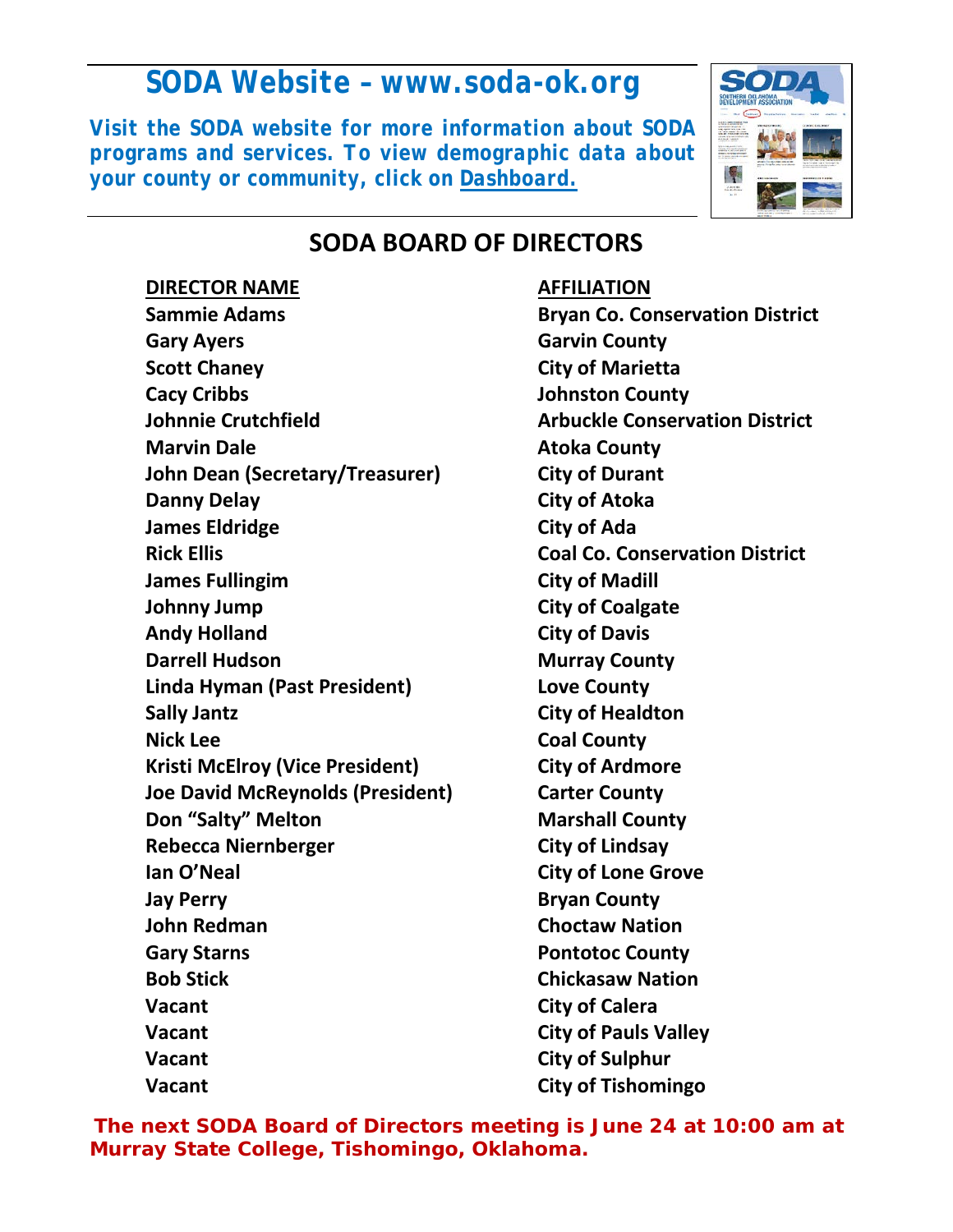# *SODA Website – www.soda-ok.org*

*Visit the SODA website for more information about SODA programs and services. To view demographic data about your county or community, click on Dashboard.*



## **SODA BOARD OF DIRECTORS**

### **DIRECTOR NAME AFFILIATION**

**Sammie Adams Bryan Co. Conservation District Gary Ayers Garvin County Scott Chaney City of Marietta Cacy Cribbs Johnston County Johnnie Crutchfield Arbuckle Conservation District Marvin Dale Atoka County John Dean (Secretary/Treasurer) City of Durant Danny Delay City of Atoka James Eldridge City of Ada Rick Ellis Coal Co. Conservation District James Fullingim City of Madill Johnny Jump City of Coalgate Andy Holland City of Davis Darrell Hudson Murray County Linda Hyman (Past President) Love County Sally Jantz City of Healdton Nick Lee Coal County Kristi McElroy (Vice President) City of Ardmore Joe David McReynolds (President) Carter County Don "Salty" Melton Marshall County Rebecca Niernberger City of Lindsay Ian O'Neal City of Lone Grove Jay Perry County County Research Ave John Redman Choctaw Nation Gary Starns County County Reserves County Ave Bob Stick Chickasaw Nation Vacant City of Calera Vacant City of Pauls Valley Vacant City of Sulphur Vacant City of Tishomingo**

*The next SODA Board of Directors meeting is June 24 at 10:00 am at Murray State College, Tishomingo, Oklahoma.*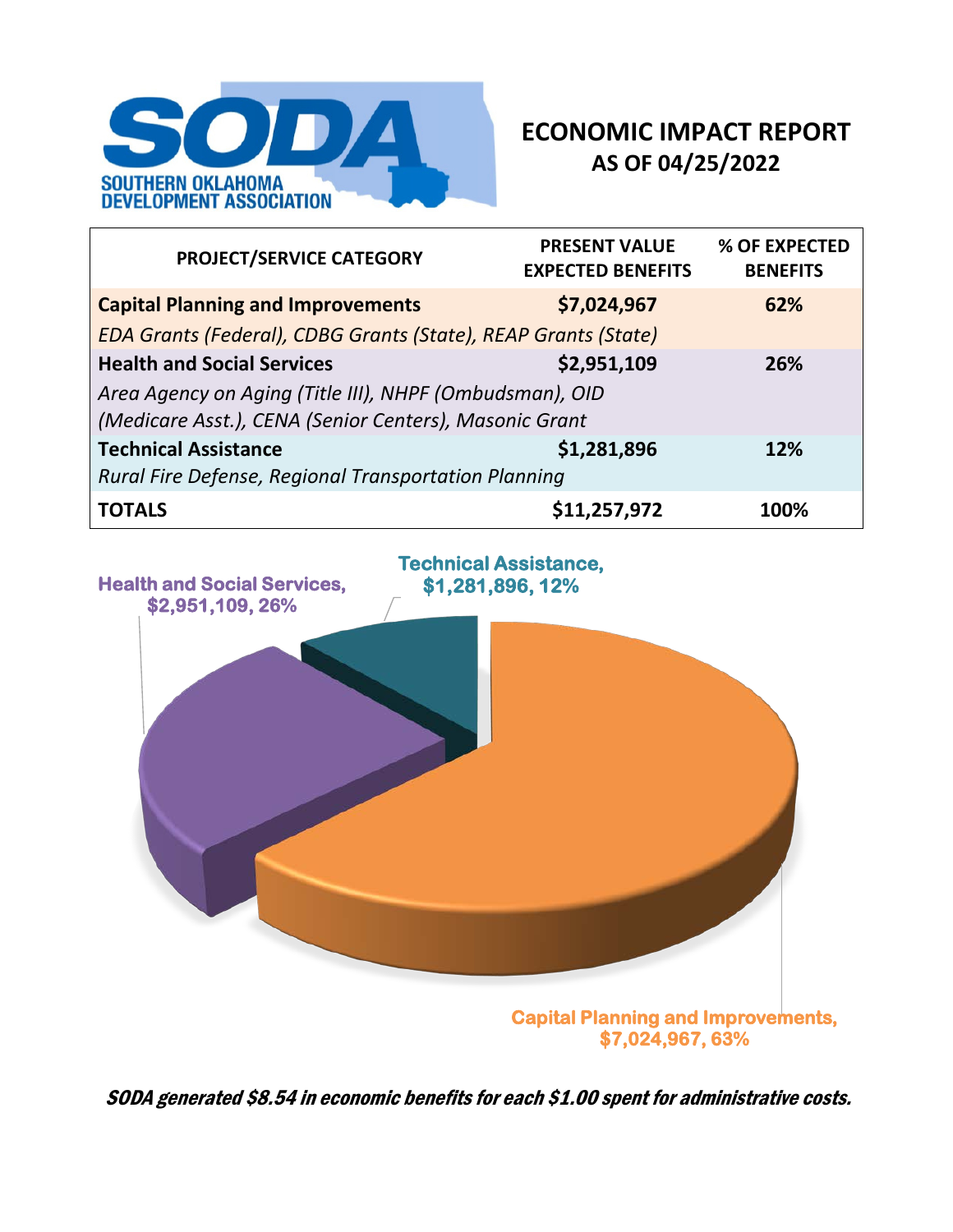

## **ECONOMIC IMPACT REPORT AS OF 04/25/2022**

| <b>PROJECT/SERVICE CATEGORY</b>                                                                                   | <b>PRESENT VALUE</b><br><b>EXPECTED BENEFITS</b> | % OF EXPECTED<br><b>BENEFITS</b> |  |  |  |
|-------------------------------------------------------------------------------------------------------------------|--------------------------------------------------|----------------------------------|--|--|--|
| <b>Capital Planning and Improvements</b>                                                                          | \$7,024,967                                      | 62%                              |  |  |  |
| EDA Grants (Federal), CDBG Grants (State), REAP Grants (State)                                                    |                                                  |                                  |  |  |  |
| <b>Health and Social Services</b>                                                                                 | \$2,951,109                                      | 26%                              |  |  |  |
| Area Agency on Aging (Title III), NHPF (Ombudsman), OID<br>(Medicare Asst.), CENA (Senior Centers), Masonic Grant |                                                  |                                  |  |  |  |
| <b>Technical Assistance</b>                                                                                       | \$1,281,896                                      | 12%                              |  |  |  |
| Rural Fire Defense, Regional Transportation Planning                                                              |                                                  |                                  |  |  |  |
| <b>TOTALS</b>                                                                                                     | \$11,257,972                                     | 100%                             |  |  |  |



SODA generated \$8.54 in economic benefits for each \$1.00 spent for administrative costs.